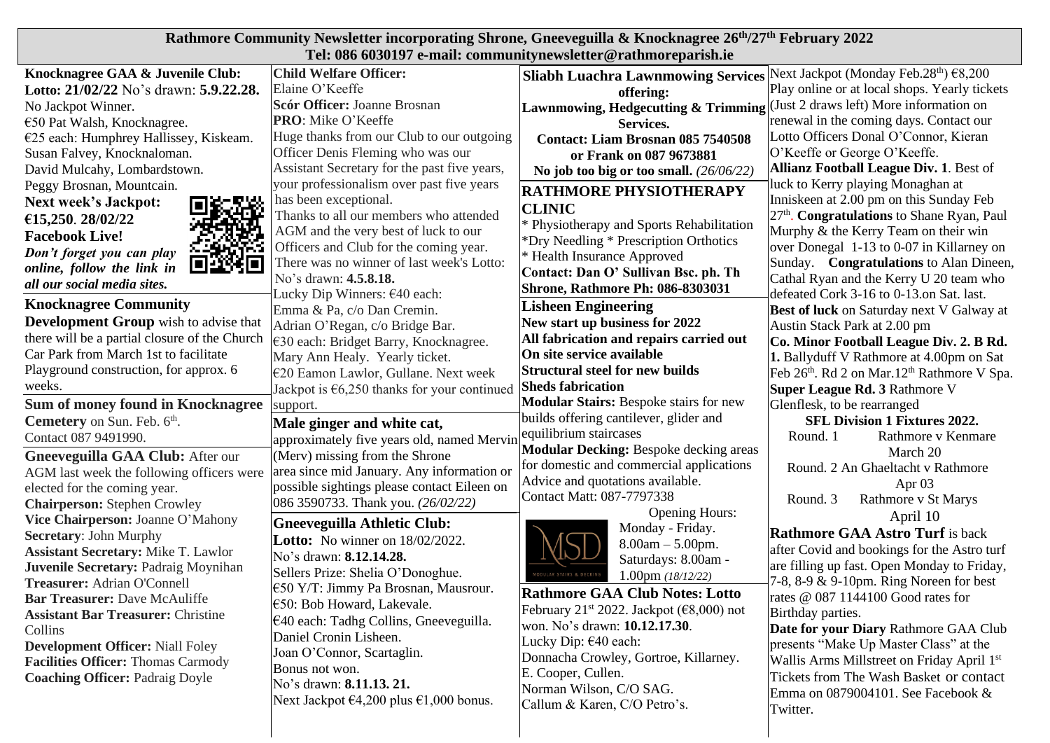| Rathmore Community Newsletter incorporating Shrone, Gneeveguilla & Knocknagree 26 <sup>th</sup> /27 <sup>th</sup> February 2022 |                                                                              |                                                                                       |                                                              |  |  |
|---------------------------------------------------------------------------------------------------------------------------------|------------------------------------------------------------------------------|---------------------------------------------------------------------------------------|--------------------------------------------------------------|--|--|
| Tel: 086 6030197 e-mail: communitynewsletter@rathmoreparish.ie                                                                  |                                                                              |                                                                                       |                                                              |  |  |
| Knocknagree GAA & Juvenile Club:                                                                                                | <b>Child Welfare Officer:</b>                                                | Sliabh Luachra Lawnmowing Services Next Jackpot (Monday Feb.28 <sup>th</sup> ) €8,200 |                                                              |  |  |
| Lotto: 21/02/22 No's drawn: 5.9.22.28.                                                                                          | Elaine O'Keeffe                                                              | offering:                                                                             | Play online or at local shops. Yearly tickets                |  |  |
| No Jackpot Winner.                                                                                                              | Scór Officer: Joanne Brosnan                                                 | Lawnmowing, Hedgecutting & Trimming                                                   | (Just 2 draws left) More information on                      |  |  |
| €50 Pat Walsh, Knocknagree.                                                                                                     | <b>PRO:</b> Mike O'Keeffe                                                    | Services.                                                                             | renewal in the coming days. Contact our                      |  |  |
| $E25$ each: Humphrey Hallissey, Kiskeam.                                                                                        | Huge thanks from our Club to our outgoing                                    | <b>Contact: Liam Brosnan 085 7540508</b>                                              | Lotto Officers Donal O'Connor, Kieran                        |  |  |
| Susan Falvey, Knocknaloman.                                                                                                     | Officer Denis Fleming who was our                                            | or Frank on 087 9673881                                                               | O'Keeffe or George O'Keeffe.                                 |  |  |
| David Mulcahy, Lombardstown.                                                                                                    | Assistant Secretary for the past five years,                                 | No job too big or too small. $(26/06/22)$                                             | <b>Allianz Football League Div. 1. Best of</b>               |  |  |
| Peggy Brosnan, Mountcain.                                                                                                       | your professionalism over past five years                                    | <b>RATHMORE PHYSIOTHERAPY</b>                                                         | luck to Kerry playing Monaghan at                            |  |  |
| <b>Next week's Jackpot:</b>                                                                                                     | has been exceptional.                                                        | <b>CLINIC</b>                                                                         | Inniskeen at 2.00 pm on this Sunday Feb                      |  |  |
| €15,250. 28/02/22                                                                                                               | Thanks to all our members who attended                                       | * Physiotherapy and Sports Rehabilitation                                             | 27 <sup>th</sup> . Congratulations to Shane Ryan, Paul       |  |  |
| <b>Facebook Live!</b>                                                                                                           | AGM and the very best of luck to our                                         | *Dry Needling * Prescription Orthotics                                                | Murphy & the Kerry Team on their win                         |  |  |
| Don't forget you can play                                                                                                       | Officers and Club for the coming year.                                       | * Health Insurance Approved                                                           | over Donegal 1-13 to 0-07 in Killarney on                    |  |  |
| ŚΕ<br>шрқ<br>online, follow the link in                                                                                         | There was no winner of last week's Lotto:                                    | Contact: Dan O' Sullivan Bsc. ph. Th                                                  | Sunday. Congratulations to Alan Dineen,                      |  |  |
| all our social media sites.                                                                                                     | No's drawn: 4.5.8.18.                                                        | <b>Shrone, Rathmore Ph: 086-8303031</b>                                               | Cathal Ryan and the Kerry U 20 team who                      |  |  |
| <b>Knocknagree Community</b>                                                                                                    | Lucky Dip Winners: €40 each:                                                 | <b>Lisheen Engineering</b>                                                            | defeated Cork 3-16 to 0-13.on Sat. last.                     |  |  |
| <b>Development Group</b> wish to advise that                                                                                    | Emma & Pa, c/o Dan Cremin.                                                   | New start up business for 2022                                                        | <b>Best of luck</b> on Saturday next V Galway at             |  |  |
| there will be a partial closure of the Church                                                                                   | Adrian O'Regan, c/o Bridge Bar.                                              | All fabrication and repairs carried out                                               | Austin Stack Park at 2.00 pm                                 |  |  |
| Car Park from March 1st to facilitate                                                                                           | €30 each: Bridget Barry, Knocknagree.                                        | On site service available                                                             | Co. Minor Football League Div. 2. B Rd.                      |  |  |
| Playground construction, for approx. 6                                                                                          | Mary Ann Healy. Yearly ticket.                                               | <b>Structural steel for new builds</b>                                                | 1. Ballyduff V Rathmore at 4.00pm on Sat                     |  |  |
| weeks.                                                                                                                          | €20 Eamon Lawlor, Gullane. Next week                                         | <b>Sheds fabrication</b>                                                              | Feb 26th. Rd 2 on Mar.12 <sup>th</sup> Rathmore V Spa.       |  |  |
| <b>Sum of money found in Knocknagree</b>                                                                                        | Jackpot is $\epsilon$ 6,250 thanks for your continued<br>support.            | <b>Modular Stairs: Bespoke stairs for new</b>                                         | Super League Rd. 3 Rathmore V<br>Glenflesk, to be rearranged |  |  |
| <b>Cemetery</b> on Sun. Feb. 6 <sup>th</sup> .                                                                                  |                                                                              | builds offering cantilever, glider and                                                | <b>SFL Division 1 Fixtures 2022.</b>                         |  |  |
| Contact 087 9491990.                                                                                                            | Male ginger and white cat,                                                   | equilibrium staircases                                                                | Round. 1<br>Rathmore v Kenmare                               |  |  |
| Gneeveguilla GAA Club: After our                                                                                                | approximately five years old, named Mervin<br>(Merv) missing from the Shrone | <b>Modular Decking: Bespoke decking areas</b>                                         | March 20                                                     |  |  |
| AGM last week the following officers were                                                                                       | area since mid January. Any information or                                   | for domestic and commercial applications                                              | Round. 2 An Ghaeltacht v Rathmore                            |  |  |
| elected for the coming year.                                                                                                    | possible sightings please contact Eileen on                                  | Advice and quotations available.                                                      | Apr <sub>03</sub>                                            |  |  |
| <b>Chairperson: Stephen Crowley</b>                                                                                             | 086 3590733. Thank you. (26/02/22)                                           | Contact Matt: 087-7797338                                                             | Rathmore v St Marys<br>Round. 3                              |  |  |
| Vice Chairperson: Joanne O'Mahony                                                                                               | <b>Gneeveguilla Athletic Club:</b>                                           | <b>Opening Hours:</b>                                                                 | April 10                                                     |  |  |
| <b>Secretary: John Murphy</b>                                                                                                   |                                                                              | Monday - Friday.                                                                      | <b>Rathmore GAA Astro Turf</b> is back                       |  |  |
| <b>Assistant Secretary: Mike T. Lawlor</b>                                                                                      | <b>Lotto:</b> No winner on 18/02/2022.<br>No's drawn: 8.12.14.28.            | $8.00am - 5.00pm.$                                                                    | after Covid and bookings for the Astro turf                  |  |  |
| Juvenile Secretary: Padraig Moynihan                                                                                            |                                                                              | Saturdays: 8.00am -                                                                   | are filling up fast. Open Monday to Friday,                  |  |  |
| Treasurer: Adrian O'Connell                                                                                                     | Sellers Prize: Shelia O'Donoghue.                                            | <b>DULAR STAIRS &amp; DECKIN</b><br>1.00pm $(18/12/22)$                               | 7-8, 8-9 & 9-10pm. Ring Noreen for best                      |  |  |
| <b>Bar Treasurer: Dave McAuliffe</b>                                                                                            | €50 Y/T: Jimmy Pa Brosnan, Mausrour.<br>€50: Bob Howard, Lakevale.           | <b>Rathmore GAA Club Notes: Lotto</b>                                                 | rates @ 087 1144100 Good rates for                           |  |  |
| <b>Assistant Bar Treasurer: Christine</b>                                                                                       |                                                                              | February 21 <sup>st</sup> 2022. Jackpot ( $\epsilon$ 8,000) not                       | Birthday parties.                                            |  |  |
| Collins                                                                                                                         | €40 each: Tadhg Collins, Gneeveguilla.<br>Daniel Cronin Lisheen.             | won. No's drawn: 10.12.17.30.                                                         | Date for your Diary Rathmore GAA Club                        |  |  |
| <b>Development Officer:</b> Niall Foley                                                                                         | Joan O'Connor, Scartaglin.                                                   | Lucky Dip: €40 each:                                                                  | presents "Make Up Master Class" at the                       |  |  |
| <b>Facilities Officer: Thomas Carmody</b>                                                                                       | Bonus not won.                                                               | Donnacha Crowley, Gortroe, Killarney.                                                 | Wallis Arms Millstreet on Friday April 1st                   |  |  |
| <b>Coaching Officer: Padraig Doyle</b>                                                                                          | No's drawn: 8.11.13. 21.                                                     | E. Cooper, Cullen.                                                                    | Tickets from The Wash Basket or contact                      |  |  |
|                                                                                                                                 | Next Jackpot $\epsilon$ 4,200 plus $\epsilon$ 1,000 bonus.                   | Norman Wilson, C/O SAG.                                                               | Emma on 0879004101. See Facebook &                           |  |  |
|                                                                                                                                 |                                                                              | Callum & Karen, C/O Petro's.                                                          | Twitter.                                                     |  |  |